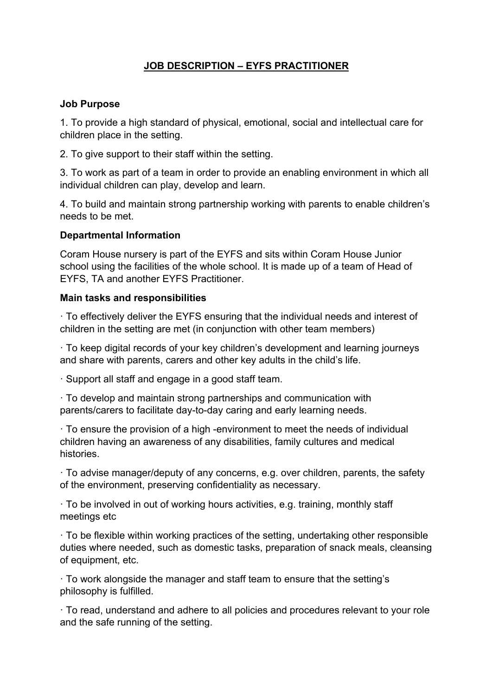# **JOB DESCRIPTION – EYFS PRACTITIONER**

#### **Job Purpose**

1. To provide a high standard of physical, emotional, social and intellectual care for children place in the setting.

2. To give support to their staff within the setting.

3. To work as part of a team in order to provide an enabling environment in which all individual children can play, develop and learn.

4. To build and maintain strong partnership working with parents to enable children's needs to be met.

## **Departmental Information**

Coram House nursery is part of the EYFS and sits within Coram House Junior school using the facilities of the whole school. It is made up of a team of Head of EYFS, TA and another EYFS Practitioner.

#### **Main tasks and responsibilities**

· To effectively deliver the EYFS ensuring that the individual needs and interest of children in the setting are met (in conjunction with other team members)

· To keep digital records of your key children's development and learning journeys and share with parents, carers and other key adults in the child's life.

· Support all staff and engage in a good staff team.

· To develop and maintain strong partnerships and communication with parents/carers to facilitate day-to-day caring and early learning needs.

· To ensure the provision of a high -environment to meet the needs of individual children having an awareness of any disabilities, family cultures and medical histories.

· To advise manager/deputy of any concerns, e.g. over children, parents, the safety of the environment, preserving confidentiality as necessary.

· To be involved in out of working hours activities, e.g. training, monthly staff meetings etc

· To be flexible within working practices of the setting, undertaking other responsible duties where needed, such as domestic tasks, preparation of snack meals, cleansing of equipment, etc.

· To work alongside the manager and staff team to ensure that the setting's philosophy is fulfilled.

· To read, understand and adhere to all policies and procedures relevant to your role and the safe running of the setting.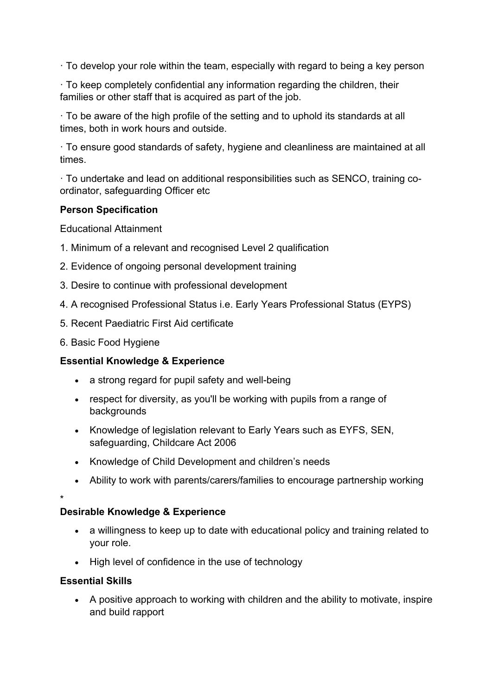· To develop your role within the team, especially with regard to being a key person

· To keep completely confidential any information regarding the children, their families or other staff that is acquired as part of the job.

· To be aware of the high profile of the setting and to uphold its standards at all times, both in work hours and outside.

· To ensure good standards of safety, hygiene and cleanliness are maintained at all times.

· To undertake and lead on additional responsibilities such as SENCO, training coordinator, safeguarding Officer etc

## **Person Specification**

Educational Attainment

- 1. Minimum of a relevant and recognised Level 2 qualification
- 2. Evidence of ongoing personal development training
- 3. Desire to continue with professional development
- 4. A recognised Professional Status i.e. Early Years Professional Status (EYPS)
- 5. Recent Paediatric First Aid certificate
- 6. Basic Food Hygiene

## **Essential Knowledge & Experience**

- a strong regard for pupil safety and well-being
- respect for diversity, as you'll be working with pupils from a range of backgrounds
- Knowledge of legislation relevant to Early Years such as EYFS, SEN, safeguarding, Childcare Act 2006
- Knowledge of Child Development and children's needs
- Ability to work with parents/carers/families to encourage partnership working

\*

#### **Desirable Knowledge & Experience**

- a willingness to keep up to date with educational policy and training related to your role.
- High level of confidence in the use of technology

## **Essential Skills**

• A positive approach to working with children and the ability to motivate, inspire and build rapport